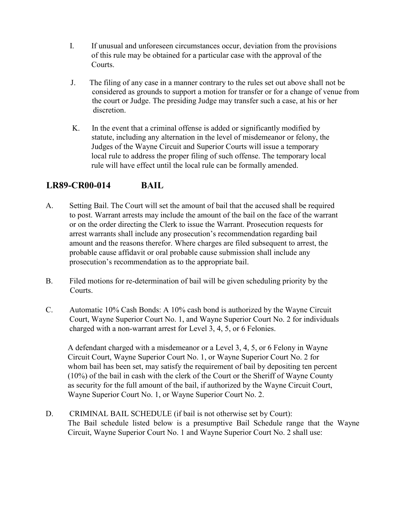- I. If unusual and unforeseen circumstances occur, deviation from the provisions of this rule may be obtained for a particular case with the approval of the Courts.
- J. The filing of any case in a manner contrary to the rules set out above shall not be considered as grounds to support a motion for transfer or for a change of venue from the court or Judge. The presiding Judge may transfer such a case, at his or her discretion.
- K. In the event that a criminal offense is added or significantly modified by statute, including any alternation in the level of misdemeanor or felony, the Judges of the Wayne Circuit and Superior Courts will issue a temporary local rule to address the proper filing of such offense. The temporary local rule will have effect until the local rule can be formally amended.

## **LR89-CR00-014 BAIL**

- A. Setting Bail. The Court will set the amount of bail that the accused shall be required to post. Warrant arrests may include the amount of the bail on the face of the warrant or on the order directing the Clerk to issue the Warrant. Prosecution requests for arrest warrants shall include any prosecution's recommendation regarding bail amount and the reasons therefor. Where charges are filed subsequent to arrest, the probable cause affidavit or oral probable cause submission shall include any prosecution's recommendation as to the appropriate bail.
- B. Filed motions for re-determination of bail will be given scheduling priority by the Courts.
- C. Automatic 10% Cash Bonds: A 10% cash bond is authorized by the Wayne Circuit Court, Wayne Superior Court No. 1, and Wayne Superior Court No. 2 for individuals charged with a non-warrant arrest for Level 3, 4, 5, or 6 Felonies.

A defendant charged with a misdemeanor or a Level 3, 4, 5, or 6 Felony in Wayne Circuit Court, Wayne Superior Court No. 1, or Wayne Superior Court No. 2 for whom bail has been set, may satisfy the requirement of bail by depositing ten percent (10%) of the bail in cash with the clerk of the Court or the Sheriff of Wayne County as security for the full amount of the bail, if authorized by the Wayne Circuit Court, Wayne Superior Court No. 1, or Wayne Superior Court No. 2.

D. CRIMINAL BAIL SCHEDULE (if bail is not otherwise set by Court): The Bail schedule listed below is a presumptive Bail Schedule range that the Wayne Circuit, Wayne Superior Court No. 1 and Wayne Superior Court No. 2 shall use: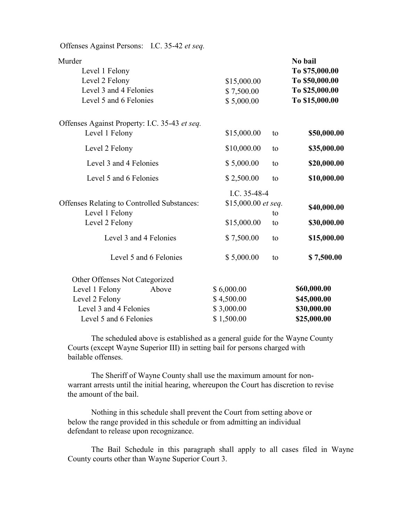| Offenses Against Persons: I.C. 35-42 et seq.                                                   |                                         |             |                                                                                 |
|------------------------------------------------------------------------------------------------|-----------------------------------------|-------------|---------------------------------------------------------------------------------|
| Murder<br>Level 1 Felony<br>Level 2 Felony<br>Level 3 and 4 Felonies<br>Level 5 and 6 Felonies | \$15,000.00<br>\$7,500.00<br>\$5,000.00 |             | No bail<br>To \$75,000.00<br>To \$50,000.00<br>To \$25,000.00<br>To \$15,000.00 |
| Offenses Against Property: I.C. 35-43 et seq.                                                  |                                         |             |                                                                                 |
| Level 1 Felony                                                                                 | \$15,000.00                             | to          | \$50,000.00                                                                     |
| Level 2 Felony                                                                                 | \$10,000.00                             | to          | \$35,000.00                                                                     |
| Level 3 and 4 Felonies                                                                         | \$5,000.00                              | to          | \$20,000.00                                                                     |
| Level 5 and 6 Felonies                                                                         | \$2,500.00                              | to          | \$10,000.00                                                                     |
|                                                                                                | I.C. 35-48-4                            |             |                                                                                 |
| Offenses Relating to Controlled Substances:<br>Level 1 Felony                                  | \$15,000.00 et seq.                     | \$40,000.00 |                                                                                 |
| Level 2 Felony                                                                                 | \$15,000.00                             | to<br>to    | \$30,000.00                                                                     |
| Level 3 and 4 Felonies                                                                         | \$7,500.00                              | to          | \$15,000.00                                                                     |
| Level 5 and 6 Felonies                                                                         | \$5,000.00                              | to          | \$7,500.00                                                                      |
| Other Offenses Not Categorized                                                                 |                                         |             |                                                                                 |
| Level 1 Felony<br>Above                                                                        | \$6,000.00                              |             | \$60,000.00                                                                     |
| Level 2 Felony                                                                                 | \$4,500.00                              |             | \$45,000.00                                                                     |
| Level 3 and 4 Felonies                                                                         | \$3,000.00                              |             | \$30,000.00                                                                     |
| Level 5 and 6 Felonies                                                                         | \$1,500.00                              |             | \$25,000.00                                                                     |

The scheduled above is established as a general guide for the Wayne County Courts (except Wayne Superior III) in setting bail for persons charged with bailable offenses.

The Sheriff of Wayne County shall use the maximum amount for nonwarrant arrests until the initial hearing, whereupon the Court has discretion to revise the amount of the bail.

Nothing in this schedule shall prevent the Court from setting above or below the range provided in this schedule or from admitting an individual defendant to release upon recognizance.

The Bail Schedule in this paragraph shall apply to all cases filed in Wayne County courts other than Wayne Superior Court 3.